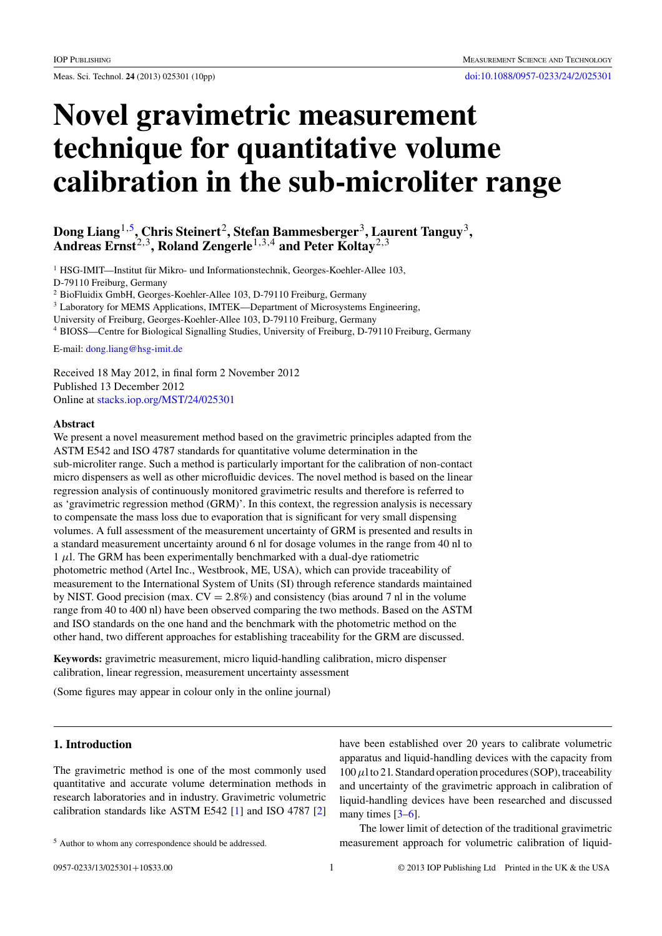# **Novel gravimetric measurement technique for quantitative volume calibration in the sub-microliter range**

**Dong Liang**1,5**, Chris Steinert**2**, Stefan Bammesberger**3**, Laurent Tanguy**3**, Andreas Ernst**2,3**, Roland Zengerle**1,3,4 **and Peter Koltay**2,3

<sup>1</sup> HSG-IMIT—Institut für Mikro- und Informationstechnik, Georges-Koehler-Allee 103, D-79110 Freiburg, Germany

<sup>2</sup> BioFluidix GmbH, Georges-Koehler-Allee 103, D-79110 Freiburg, Germany

<sup>3</sup> Laboratory for MEMS Applications, IMTEK—Department of Microsystems Engineering,

University of Freiburg, Georges-Koehler-Allee 103, D-79110 Freiburg, Germany

<sup>4</sup> BIOSS—Centre for Biological Signalling Studies, University of Freiburg, D-79110 Freiburg, Germany

E-mail: [dong.liang@hsg-imit.de](mailto:dong.liang@hsg-imit.de)

Received 18 May 2012, in final form 2 November 2012 Published 13 December 2012 Online at [stacks.iop.org/MST/24/025301](http://stacks.iop.org/MST/24/025301)

#### **Abstract**

We present a novel measurement method based on the gravimetric principles adapted from the ASTM E542 and ISO 4787 standards for quantitative volume determination in the sub-microliter range. Such a method is particularly important for the calibration of non-contact micro dispensers as well as other microfluidic devices. The novel method is based on the linear regression analysis of continuously monitored gravimetric results and therefore is referred to as 'gravimetric regression method (GRM)'. In this context, the regression analysis is necessary to compensate the mass loss due to evaporation that is significant for very small dispensing volumes. A full assessment of the measurement uncertainty of GRM is presented and results in a standard measurement uncertainty around 6 nl for dosage volumes in the range from 40 nl to 1  $\mu$ l. The GRM has been experimentally benchmarked with a dual-dye ratiometric photometric method (Artel Inc., Westbrook, ME, USA), which can provide traceability of measurement to the International System of Units (SI) through reference standards maintained by NIST. Good precision (max.  $CV = 2.8\%$ ) and consistency (bias around 7 nl in the volume range from 40 to 400 nl) have been observed comparing the two methods. Based on the ASTM and ISO standards on the one hand and the benchmark with the photometric method on the other hand, two different approaches for establishing traceability for the GRM are discussed.

**Keywords:** gravimetric measurement, micro liquid-handling calibration, micro dispenser calibration, linear regression, measurement uncertainty assessment

(Some figures may appear in colour only in the online journal)

## **1. Introduction**

The gravimetric method is one of the most commonly used quantitative and accurate volume determination methods in research laboratories and in industry. Gravimetric volumetric calibration standards like ASTM E542 [\[1\]](#page-8-0) and ISO 4787 [\[2\]](#page-8-0) have been established over 20 years to calibrate volumetric apparatus and liquid-handling devices with the capacity from  $100 \mu$ l to 21. Standard operation procedures (SOP), traceability and uncertainty of the gravimetric approach in calibration of liquid-handling devices have been researched and discussed many times [\[3–6\]](#page-8-0).

The lower limit of detection of the traditional gravimetric measurement approach for volumetric calibration of liquid-

<sup>5</sup> Author to whom any correspondence should be addressed.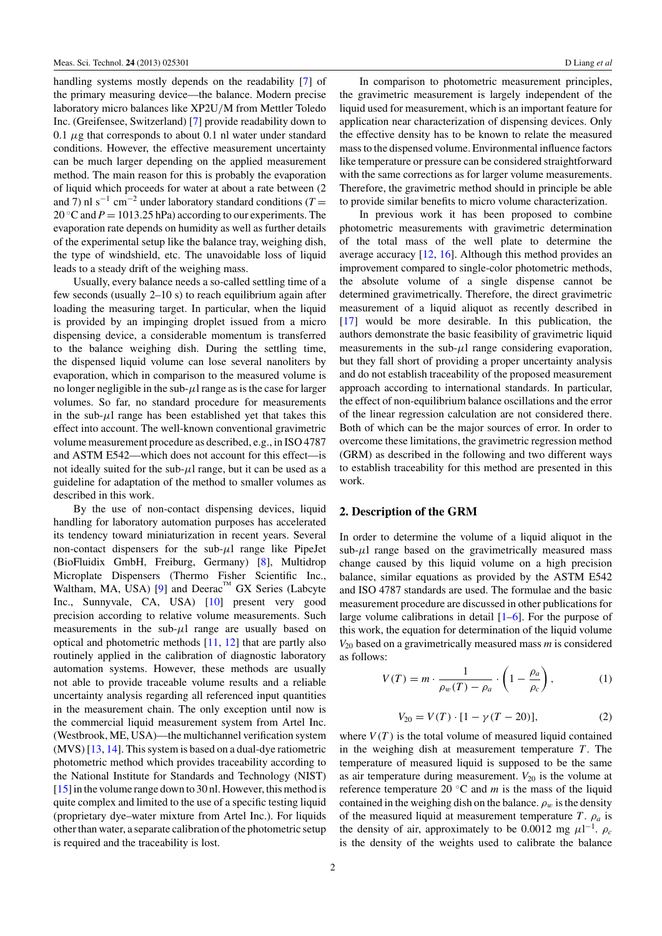<span id="page-1-0"></span>handling systems mostly depends on the readability [\[7](#page-8-0)] of the primary measuring device—the balance. Modern precise laboratory micro balances like XP2U*/*M from Mettler Toledo Inc. (Greifensee, Switzerland) [\[7](#page-8-0)] provide readability down to 0.1  $\mu$ g that corresponds to about 0.1 nl water under standard conditions. However, the effective measurement uncertainty can be much larger depending on the applied measurement method. The main reason for this is probably the evaporation of liquid which proceeds for water at about a rate between (2 and 7) nl s<sup>-1</sup> cm<sup>-2</sup> under laboratory standard conditions ( $T =$  $20^{\circ}$ C and  $P = 1013.25$  hPa) according to our experiments. The evaporation rate depends on humidity as well as further details of the experimental setup like the balance tray, weighing dish, the type of windshield, etc. The unavoidable loss of liquid leads to a steady drift of the weighing mass.

Usually, every balance needs a so-called settling time of a few seconds (usually 2–10 s) to reach equilibrium again after loading the measuring target. In particular, when the liquid is provided by an impinging droplet issued from a micro dispensing device, a considerable momentum is transferred to the balance weighing dish. During the settling time, the dispensed liquid volume can lose several nanoliters by evaporation, which in comparison to the measured volume is no longer negligible in the sub- $\mu$ l range as is the case for larger volumes. So far, no standard procedure for measurements in the sub- $\mu$ l range has been established yet that takes this effect into account. The well-known conventional gravimetric volume measurement procedure as described, e.g., in ISO 4787 and ASTM E542—which does not account for this effect—is not ideally suited for the sub- $\mu$ l range, but it can be used as a guideline for adaptation of the method to smaller volumes as described in this work.

By the use of non-contact dispensing devices, liquid handling for laboratory automation purposes has accelerated its tendency toward miniaturization in recent years. Several non-contact dispensers for the sub- $\mu$ l range like PipeJet (BioFluidix GmbH, Freiburg, Germany) [\[8](#page-8-0)], Multidrop Microplate Dispensers (Thermo Fisher Scientific Inc., Waltham, MA, USA) [\[9](#page-8-0)] and Deerac<sup>TM</sup> GX Series (Labcyte Inc., Sunnyvale, CA, USA) [\[10\]](#page-8-0) present very good precision according to relative volume measurements. Such measurements in the sub- $\mu$ l range are usually based on optical and photometric methods [\[11](#page-8-0), [12\]](#page-8-0) that are partly also routinely applied in the calibration of diagnostic laboratory automation systems. However, these methods are usually not able to provide traceable volume results and a reliable uncertainty analysis regarding all referenced input quantities in the measurement chain. The only exception until now is the commercial liquid measurement system from Artel Inc. (Westbrook, ME, USA)—the multichannel verification system (MVS) [\[13](#page-8-0), [14\]](#page-8-0). This system is based on a dual-dye ratiometric photometric method which provides traceability according to the National Institute for Standards and Technology (NIST) [\[15](#page-9-0)] in the volume range down to 30 nl. However, this method is quite complex and limited to the use of a specific testing liquid (proprietary dye–water mixture from Artel Inc.). For liquids other than water, a separate calibration of the photometric setup is required and the traceability is lost.

In comparison to photometric measurement principles, the gravimetric measurement is largely independent of the liquid used for measurement, which is an important feature for application near characterization of dispensing devices. Only the effective density has to be known to relate the measured mass to the dispensed volume. Environmental influence factors like temperature or pressure can be considered straightforward with the same corrections as for larger volume measurements. Therefore, the gravimetric method should in principle be able to provide similar benefits to micro volume characterization.

In previous work it has been proposed to combine photometric measurements with gravimetric determination of the total mass of the well plate to determine the average accuracy [\[12,](#page-8-0) [16](#page-9-0)]. Although this method provides an improvement compared to single-color photometric methods, the absolute volume of a single dispense cannot be determined gravimetrically. Therefore, the direct gravimetric measurement of a liquid aliquot as recently described in [\[17](#page-9-0)] would be more desirable. In this publication, the authors demonstrate the basic feasibility of gravimetric liquid measurements in the sub- $\mu$ l range considering evaporation, but they fall short of providing a proper uncertainty analysis and do not establish traceability of the proposed measurement approach according to international standards. In particular, the effect of non-equilibrium balance oscillations and the error of the linear regression calculation are not considered there. Both of which can be the major sources of error. In order to overcome these limitations, the gravimetric regression method (GRM) as described in the following and two different ways to establish traceability for this method are presented in this work.

#### **2. Description of the GRM**

In order to determine the volume of a liquid aliquot in the sub- $\mu$ l range based on the gravimetrically measured mass change caused by this liquid volume on a high precision balance, similar equations as provided by the ASTM E542 and ISO 4787 standards are used. The formulae and the basic measurement procedure are discussed in other publications for large volume calibrations in detail  $[1-6]$ . For the purpose of this work, the equation for determination of the liquid volume *V*<sup>20</sup> based on a gravimetrically measured mass *m* is considered as follows:

$$
V(T) = m \cdot \frac{1}{\rho_w(T) - \rho_a} \cdot \left(1 - \frac{\rho_a}{\rho_c}\right),\tag{1}
$$

$$
V_{20} = V(T) \cdot [1 - \gamma (T - 20)], \tag{2}
$$

where  $V(T)$  is the total volume of measured liquid contained in the weighing dish at measurement temperature *T*. The temperature of measured liquid is supposed to be the same as air temperature during measurement.  $V_{20}$  is the volume at reference temperature 20 ◦C and *m* is the mass of the liquid contained in the weighing dish on the balance.  $\rho_w$  is the density of the measured liquid at measurement temperature *T*.  $\rho_a$  is the density of air, approximately to be 0.0012 mg  $\mu$ 1<sup>-1</sup>.  $\rho_c$ is the density of the weights used to calibrate the balance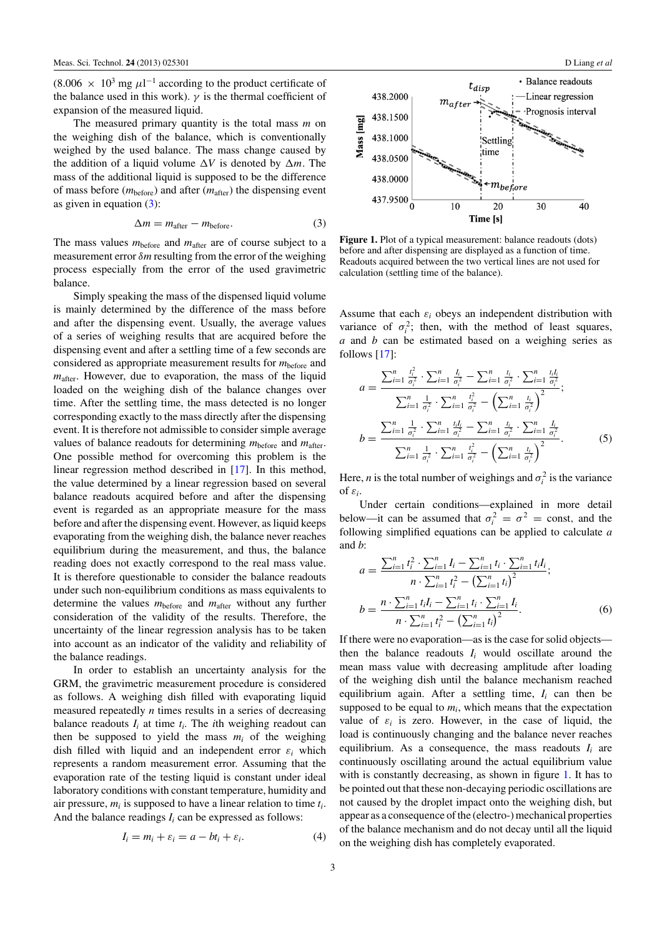<span id="page-2-0"></span> $(8.006 \times 10^3 \text{ mg } \mu l^{-1}$  according to the product certificate of the balance used in this work).  $\nu$  is the thermal coefficient of expansion of the measured liquid.

The measured primary quantity is the total mass *m* on the weighing dish of the balance, which is conventionally weighed by the used balance. The mass change caused by the addition of a liquid volume  $\Delta V$  is denoted by  $\Delta m$ . The mass of the additional liquid is supposed to be the difference of mass before  $(m<sub>before</sub>)$  and after  $(m<sub>after</sub>)$  the dispensing event as given in equation  $(3)$ :

$$
\Delta m = m_{\text{after}} - m_{\text{before}}.\tag{3}
$$

The mass values  $m<sub>before</sub>$  and  $m<sub>after</sub>$  are of course subject to a measurement error δ*m* resulting from the error of the weighing process especially from the error of the used gravimetric balance.

Simply speaking the mass of the dispensed liquid volume is mainly determined by the difference of the mass before and after the dispensing event. Usually, the average values of a series of weighing results that are acquired before the dispensing event and after a settling time of a few seconds are considered as appropriate measurement results for *m*before and *m*<sub>after</sub>. However, due to evaporation, the mass of the liquid loaded on the weighing dish of the balance changes over time. After the settling time, the mass detected is no longer corresponding exactly to the mass directly after the dispensing event. It is therefore not admissible to consider simple average values of balance readouts for determining *m*before and *m*after. One possible method for overcoming this problem is the linear regression method described in [\[17](#page-9-0)]. In this method, the value determined by a linear regression based on several balance readouts acquired before and after the dispensing event is regarded as an appropriate measure for the mass before and after the dispensing event. However, as liquid keeps evaporating from the weighing dish, the balance never reaches equilibrium during the measurement, and thus, the balance reading does not exactly correspond to the real mass value. It is therefore questionable to consider the balance readouts under such non-equilibrium conditions as mass equivalents to determine the values  $m<sub>before</sub>$  and  $m<sub>after</sub>$  without any further consideration of the validity of the results. Therefore, the uncertainty of the linear regression analysis has to be taken into account as an indicator of the validity and reliability of the balance readings.

In order to establish an uncertainty analysis for the GRM, the gravimetric measurement procedure is considered as follows. A weighing dish filled with evaporating liquid measured repeatedly *n* times results in a series of decreasing balance readouts  $I_i$  at time  $t_i$ . The *i*th weighing readout can then be supposed to yield the mass  $m_i$  of the weighing dish filled with liquid and an independent error  $\varepsilon_i$  which represents a random measurement error. Assuming that the evaporation rate of the testing liquid is constant under ideal laboratory conditions with constant temperature, humidity and air pressure,  $m_i$  is supposed to have a linear relation to time  $t_i$ . And the balance readings  $I_i$  can be expressed as follows:

$$
I_i = m_i + \varepsilon_i = a - bt_i + \varepsilon_i.
$$
 (4)



**Figure 1.** Plot of a typical measurement: balance readouts (dots) before and after dispensing are displayed as a function of time. Readouts acquired between the two vertical lines are not used for calculation (settling time of the balance).

Assume that each  $\varepsilon_i$  obeys an independent distribution with variance of  $\sigma_i^2$ ; then, with the method of least squares, *a* and *b* can be estimated based on a weighing series as follows [\[17\]](#page-9-0):

$$
a = \frac{\sum_{i=1}^{n} \frac{t_i^2}{\sigma_i^2} \cdot \sum_{i=1}^{n} \frac{I_i}{\sigma_i^2} - \sum_{i=1}^{n} \frac{t_i}{\sigma_i^2} \cdot \sum_{i=1}^{n} \frac{t_i I_i}{\sigma_i^2}}{\sum_{i=1}^{n} \frac{1}{\sigma_i^2} \cdot \sum_{i=1}^{n} \frac{t_i^2}{\sigma_i^2} - \left(\sum_{i=1}^{n} \frac{t_i}{\sigma_i^2}\right)^2};
$$
\n
$$
b = \frac{\sum_{i=1}^{n} \frac{1}{\sigma_i^2} \cdot \sum_{i=1}^{n} \frac{t_i I_i}{\sigma_i^2} - \sum_{i=1}^{n} \frac{t_i}{\sigma_i^2} \cdot \sum_{i=1}^{n} \frac{I_i}{\sigma_i^2}}{\sum_{i=1}^{n} \frac{1}{\sigma_i^2} \cdot \sum_{i=1}^{n} \frac{t_i^2}{\sigma_i^2} - \left(\sum_{i=1}^{n} \frac{t_i}{\sigma_i^2}\right)^2}.
$$
\n(5)

Here, *n* is the total number of weighings and  $\sigma_i^2$  is the variance of  $\varepsilon_i$ .

Under certain conditions—explained in more detail below—it can be assumed that  $\sigma_i^2 = \sigma^2$  = const, and the following simplified equations can be applied to calculate *a* and *b*:

$$
a = \frac{\sum_{i=1}^{n} t_i^2 \cdot \sum_{i=1}^{n} I_i - \sum_{i=1}^{n} t_i \cdot \sum_{i=1}^{n} t_i I_i}{n \cdot \sum_{i=1}^{n} t_i^2 - (\sum_{i=1}^{n} t_i)^2};
$$
  
\n
$$
b = \frac{n \cdot \sum_{i=1}^{n} t_i I_i - \sum_{i=1}^{n} t_i \cdot \sum_{i=1}^{n} I_i}{n \cdot \sum_{i=1}^{n} t_i^2 - (\sum_{i=1}^{n} t_i)^2}.
$$
 (6)

If there were no evaporation—as is the case for solid objects then the balance readouts  $I_i$  would oscillate around the mean mass value with decreasing amplitude after loading of the weighing dish until the balance mechanism reached equilibrium again. After a settling time,  $I_i$  can then be supposed to be equal to  $m_i$ , which means that the expectation value of  $\varepsilon_i$  is zero. However, in the case of liquid, the load is continuously changing and the balance never reaches equilibrium. As a consequence, the mass readouts  $I_i$  are continuously oscillating around the actual equilibrium value with is constantly decreasing, as shown in figure 1. It has to be pointed out that these non-decaying periodic oscillations are not caused by the droplet impact onto the weighing dish, but appear as a consequence of the (electro-) mechanical properties of the balance mechanism and do not decay until all the liquid on the weighing dish has completely evaporated.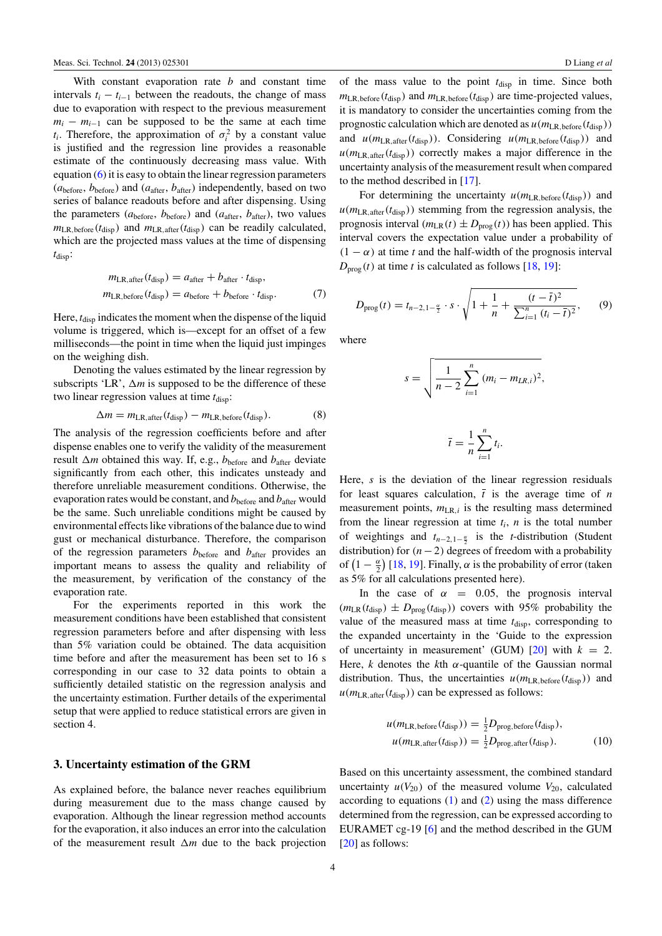With constant evaporation rate *b* and constant time intervals  $t_i - t_{i-1}$  between the readouts, the change of mass due to evaporation with respect to the previous measurement  $m_i - m_{i-1}$  can be supposed to be the same at each time  $t_i$ . Therefore, the approximation of  $\sigma_i^2$  by a constant value is justified and the regression line provides a reasonable estimate of the continuously decreasing mass value. With equation [\(6\)](#page-2-0) it is easy to obtain the linear regression parameters  $(a<sub>before</sub>, b<sub>before</sub>)$  and  $(a<sub>after</sub>, b<sub>after</sub>)$  independently, based on two series of balance readouts before and after dispensing. Using the parameters ( $a<sub>before</sub>$ ,  $b<sub>before</sub>$ ) and ( $a<sub>after</sub>$ ,  $b<sub>after</sub>$ ), two values  $m_{LR,before}(t_{disp})$  and  $m_{LR,after}(t_{disp})$  can be readily calculated, which are the projected mass values at the time of dispensing *t*disp:

$$
m_{LR, after}(t_{disp}) = a_{after} + b_{after} \cdot t_{disp},
$$
  

$$
m_{LR, before}(t_{disp}) = a_{before} + b_{before} \cdot t_{disp}.
$$
 (7)

Here,  $t_{\text{disp}}$  indicates the moment when the dispense of the liquid volume is triggered, which is—except for an offset of a few milliseconds—the point in time when the liquid just impinges on the weighing dish.

Denoting the values estimated by the linear regression by subscripts 'LR',  $\Delta m$  is supposed to be the difference of these two linear regression values at time  $t_{\text{disp}}$ :

$$
\Delta m = m_{\text{LR,after}}(t_{\text{disp}}) - m_{\text{LR,before}}(t_{\text{disp}}). \tag{8}
$$

The analysis of the regression coefficients before and after dispense enables one to verify the validity of the measurement result  $\Delta m$  obtained this way. If, e.g.,  $b_{\text{before}}$  and  $b_{\text{after}}$  deviate significantly from each other, this indicates unsteady and therefore unreliable measurement conditions. Otherwise, the evaporation rates would be constant, and  $b_{before}$  and  $b_{after}$  would be the same. Such unreliable conditions might be caused by environmental effects like vibrations of the balance due to wind gust or mechanical disturbance. Therefore, the comparison of the regression parameters  $b_{before}$  and  $b_{after}$  provides an important means to assess the quality and reliability of the measurement, by verification of the constancy of the evaporation rate.

For the experiments reported in this work the measurement conditions have been established that consistent regression parameters before and after dispensing with less than 5% variation could be obtained. The data acquisition time before and after the measurement has been set to 16 s corresponding in our case to 32 data points to obtain a sufficiently detailed statistic on the regression analysis and the uncertainty estimation. Further details of the experimental setup that were applied to reduce statistical errors are given in section 4.

# **3. Uncertainty estimation of the GRM**

As explained before, the balance never reaches equilibrium during measurement due to the mass change caused by evaporation. Although the linear regression method accounts for the evaporation, it also induces an error into the calculation of the measurement result  $\Delta m$  due to the back projection of the mass value to the point *t*disp in time. Since both  $m_{LR,before}(t_{disp})$  and  $m_{LR,before}(t_{disp})$  are time-projected values, it is mandatory to consider the uncertainties coming from the prognostic calculation which are denoted as  $u(m_{LR,\text{before}}(t_{\text{disp}}))$ and  $u(m_{LR,after}(t_{disp}))$ . Considering  $u(m_{LR,before}(t_{disp}))$  and  $u(m_{LR\,\text{after}}(t_{\text{diss}}))$  correctly makes a major difference in the uncertainty analysis of the measurement result when compared to the method described in [\[17\]](#page-9-0).

For determining the uncertainty  $u(m_{LR,\text{before}}(t_{\text{disp}}))$  and  $u(m_{LR,after}(t_{disp}))$  stemming from the regression analysis, the prognosis interval  $(m_{LR}(t) \pm D_{prog}(t))$  has been applied. This interval covers the expectation value under a probability of  $(1 - \alpha)$  at time *t* and the half-width of the prognosis interval  $D_{\text{prog}}(t)$  at time *t* is calculated as follows [\[18](#page-9-0), [19](#page-9-0)]:

$$
D_{\text{prog}}(t) = t_{n-2, 1-\frac{\alpha}{2}} \cdot s \cdot \sqrt{1 + \frac{1}{n} + \frac{(t-\bar{t})^2}{\sum_{i=1}^n (t_i - \bar{t})^2}}, \qquad (9)
$$

where

$$
s = \sqrt{\frac{1}{n-2} \sum_{i=1}^{n} (m_i - m_{LR,i})^2},
$$

$$
\bar{t} = \frac{1}{n} \sum_{i=1}^{n} t_i.
$$

Here, *s* is the deviation of the linear regression residuals for least squares calculation,  $\bar{t}$  is the average time of *n* measurement points,  $m_{LR,i}$  is the resulting mass determined from the linear regression at time  $t_i$ ,  $n$  is the total number of weightings and  $t_{n-2,1-\frac{\alpha}{2}}$  is the *t*-distribution (Student distribution) for  $(n - 2)$  degrees of freedom with a probability of  $\left(1 - \frac{\alpha}{2}\right)$  [\[18,](#page-9-0) [19](#page-9-0)]. Finally,  $\alpha$  is the probability of error (taken as 5% for all calculations presented here).

In the case of  $\alpha = 0.05$ , the prognosis interval  $(m_{LR}(t_{disp}) \pm D_{prog}(t_{disp}))$  covers with 95% probability the value of the measured mass at time  $t_{disp}$ , corresponding to the expanded uncertainty in the 'Guide to the expression of uncertainty in measurement' (GUM)  $[20]$  with  $k = 2$ . Here,  $k$  denotes the  $k$ th  $\alpha$ -quantile of the Gaussian normal distribution. Thus, the uncertainties  $u(m_{LR,\text{before}}(t_{\text{disp}}))$  and  $u(m_{LR,after}(t_{disp}))$  can be expressed as follows:

$$
u(m_{LR, \text{before}}(t_{\text{disp}})) = \frac{1}{2}D_{\text{prog}, \text{before}}(t_{\text{disp}}),
$$
  

$$
u(m_{LR, \text{after}}(t_{\text{disp}})) = \frac{1}{2}D_{\text{prog}, \text{after}}(t_{\text{disp}}).
$$
 (10)

Based on this uncertainty assessment, the combined standard uncertainty  $u(V_{20})$  of the measured volume  $V_{20}$ , calculated according to equations  $(1)$  and  $(2)$  using the mass difference determined from the regression, can be expressed according to EURAMET cg-19 [\[6\]](#page-8-0) and the method described in the GUM [\[20](#page-9-0)] as follows: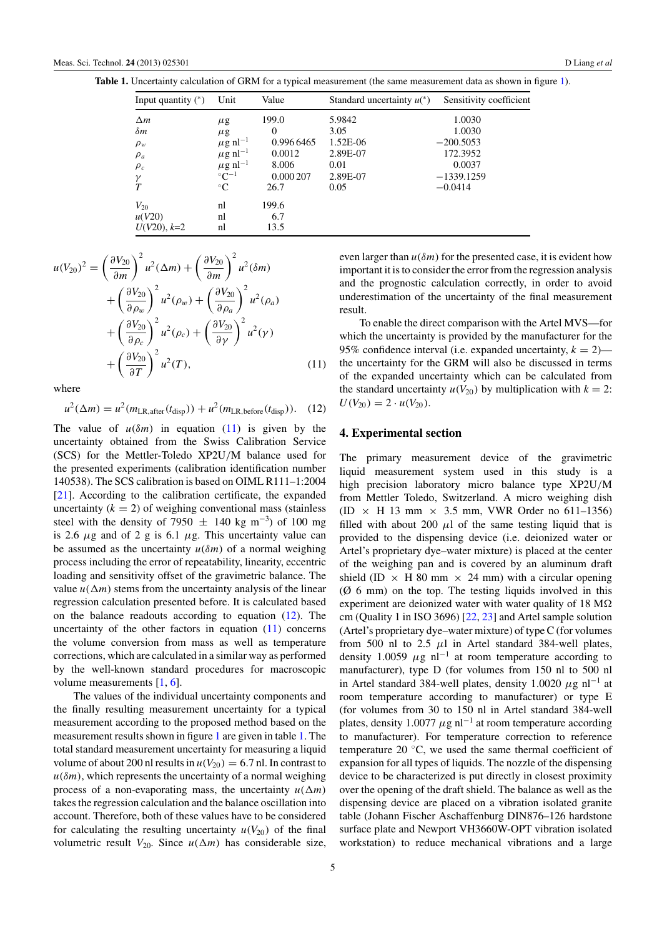**Table 1.** Uncertainty calculation of GRM for a typical measurement (the same measurement data as shown in figure [1\)](#page-2-0).

| Input quantity $(*)$ | Unit                     | Value      | Standard uncertainty $u^*(\cdot)$ | Sensitivity coefficient |
|----------------------|--------------------------|------------|-----------------------------------|-------------------------|
| $\Delta m$           | $\mu$ g                  | 199.0      | 5.9842                            | 1.0030                  |
| $\delta m$           | $\mu$ g                  | 0          | 3.05                              | 1.0030                  |
| $\rho_w$             | $\mu$ g nl <sup>-1</sup> | 0.996 6465 | 1.52E-06                          | $-200.5053$             |
| $\rho_a$             | $\mu$ g nl <sup>-1</sup> | 0.0012     | 2.89E-07                          | 172.3952                |
| $\rho_c$             | $\mu$ g nl <sup>-1</sup> | 8.006      | 0.01                              | 0.0037                  |
| $\gamma$             | $\circ$ C <sup>-1</sup>  | 0.000 207  | 2.89E-07                          | $-1339.1259$            |
| $\tau$               | $^{\circ}C$              | 26.7       | 0.05                              | $-0.0414$               |
| $V_{20}$             | nl                       | 199.6      |                                   |                         |
| u(V20)               | nl                       | 6.7        |                                   |                         |
| $U(V20)$ , $k=2$     | nl                       | 13.5       |                                   |                         |

$$
u(V_{20})^2 = \left(\frac{\partial V_{20}}{\partial m}\right)^2 u^2 (\Delta m) + \left(\frac{\partial V_{20}}{\partial m}\right)^2 u^2 (\delta m)
$$
  
+ 
$$
\left(\frac{\partial V_{20}}{\partial \rho_w}\right)^2 u^2 (\rho_w) + \left(\frac{\partial V_{20}}{\partial \rho_a}\right)^2 u^2 (\rho_a)
$$
  
+ 
$$
\left(\frac{\partial V_{20}}{\partial \rho_c}\right)^2 u^2 (\rho_c) + \left(\frac{\partial V_{20}}{\partial \gamma}\right)^2 u^2 (\gamma)
$$
  
+ 
$$
\left(\frac{\partial V_{20}}{\partial T}\right)^2 u^2 (T), \qquad (11)
$$

where

 $u^2(\Delta m) = u^2(m_{LR\,\text{after}}(t_{\text{disp}})) + u^2(m_{LR\,\text{before}}(t_{\text{disp}})).$  (12)

The value of  $u(\delta m)$  in equation (11) is given by the uncertainty obtained from the Swiss Calibration Service (SCS) for the Mettler-Toledo XP2U*/*M balance used for the presented experiments (calibration identification number 140538). The SCS calibration is based on OIML R111–1:2004 [\[21](#page-9-0)]. According to the calibration certificate, the expanded uncertainty  $(k = 2)$  of weighing conventional mass (stainless steel with the density of 7950  $\pm$  140 kg m<sup>-3</sup>) of 100 mg is 2.6  $\mu$ g and of 2 g is 6.1  $\mu$ g. This uncertainty value can be assumed as the uncertainty  $u(\delta m)$  of a normal weighing process including the error of repeatability, linearity, eccentric loading and sensitivity offset of the gravimetric balance. The value  $u(\Delta m)$  stems from the uncertainty analysis of the linear regression calculation presented before. It is calculated based on the balance readouts according to equation (12). The uncertainty of the other factors in equation  $(11)$  concerns the volume conversion from mass as well as temperature corrections, which are calculated in a similar way as performed by the well-known standard procedures for macroscopic volume measurements [\[1](#page-8-0), [6](#page-8-0)].

The values of the individual uncertainty components and the finally resulting measurement uncertainty for a typical measurement according to the proposed method based on the measurement results shown in figure [1](#page-2-0) are given in table 1. The total standard measurement uncertainty for measuring a liquid volume of about 200 nl results in  $u(V_{20}) = 6.7$  nl. In contrast to  $u(\delta m)$ , which represents the uncertainty of a normal weighing process of a non-evaporating mass, the uncertainty  $u(\Delta m)$ takes the regression calculation and the balance oscillation into account. Therefore, both of these values have to be considered for calculating the resulting uncertainty  $u(V_{20})$  of the final volumetric result  $V_{20}$ . Since  $u(\Delta m)$  has considerable size, even larger than  $u(\delta m)$  for the presented case, it is evident how important it is to consider the error from the regression analysis and the prognostic calculation correctly, in order to avoid underestimation of the uncertainty of the final measurement result.

To enable the direct comparison with the Artel MVS—for which the uncertainty is provided by the manufacturer for the 95% confidence interval (i.e. expanded uncertainty,  $k = 2$ ) the uncertainty for the GRM will also be discussed in terms of the expanded uncertainty which can be calculated from the standard uncertainty  $u(V_{20})$  by multiplication with  $k = 2$ :  $U(V_{20}) = 2 \cdot u(V_{20}).$ 

#### **4. Experimental section**

The primary measurement device of the gravimetric liquid measurement system used in this study is a high precision laboratory micro balance type XP2U*/*M from Mettler Toledo, Switzerland. A micro weighing dish  $(ID \times H 13 mm \times 3.5 mm, VWR Order no 611–1356)$ filled with about 200  $\mu$ l of the same testing liquid that is provided to the dispensing device (i.e. deionized water or Artel's proprietary dye–water mixture) is placed at the center of the weighing pan and is covered by an aluminum draft shield (ID  $\times$  H 80 mm  $\times$  24 mm) with a circular opening  $(Ø 6 mm)$  on the top. The testing liquids involved in this experiment are deionized water with water quality of 18  $M\Omega$ cm (Quality 1 in ISO 3696) [\[22,](#page-9-0) [23](#page-9-0)] and Artel sample solution (Artel's proprietary dye–water mixture) of type C (for volumes from 500 nl to 2.5  $\mu$ l in Artel standard 384-well plates, density 1.0059  $\mu$ g nl<sup>-1</sup> at room temperature according to manufacturer), type D (for volumes from 150 nl to 500 nl in Artel standard 384-well plates, density 1.0020  $\mu$ g nl<sup>-1</sup> at room temperature according to manufacturer) or type E (for volumes from 30 to 150 nl in Artel standard 384-well plates, density 1.0077  $\mu$ g nl<sup>-1</sup> at room temperature according to manufacturer). For temperature correction to reference temperature 20 $°C$ , we used the same thermal coefficient of expansion for all types of liquids. The nozzle of the dispensing device to be characterized is put directly in closest proximity over the opening of the draft shield. The balance as well as the dispensing device are placed on a vibration isolated granite table (Johann Fischer Aschaffenburg DIN876–126 hardstone surface plate and Newport VH3660W-OPT vibration isolated workstation) to reduce mechanical vibrations and a large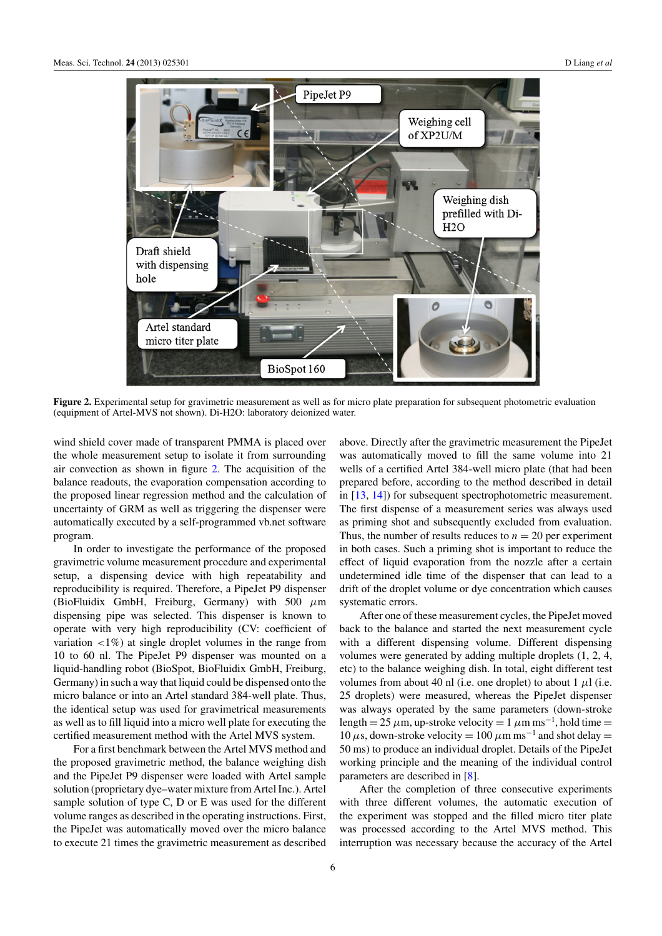

**Figure 2.** Experimental setup for gravimetric measurement as well as for micro plate preparation for subsequent photometric evaluation (equipment of Artel-MVS not shown). Di-H2O: laboratory deionized water.

wind shield cover made of transparent PMMA is placed over the whole measurement setup to isolate it from surrounding air convection as shown in figure 2. The acquisition of the balance readouts, the evaporation compensation according to the proposed linear regression method and the calculation of uncertainty of GRM as well as triggering the dispenser were automatically executed by a self-programmed vb.net software program.

In order to investigate the performance of the proposed gravimetric volume measurement procedure and experimental setup, a dispensing device with high repeatability and reproducibility is required. Therefore, a PipeJet P9 dispenser (BioFluidix GmbH, Freiburg, Germany) with 500  $\mu$ m dispensing pipe was selected. This dispenser is known to operate with very high reproducibility (CV: coefficient of variation  $\langle 1\% \rangle$  at single droplet volumes in the range from 10 to 60 nl. The PipeJet P9 dispenser was mounted on a liquid-handling robot (BioSpot, BioFluidix GmbH, Freiburg, Germany) in such a way that liquid could be dispensed onto the micro balance or into an Artel standard 384-well plate. Thus, the identical setup was used for gravimetrical measurements as well as to fill liquid into a micro well plate for executing the certified measurement method with the Artel MVS system.

For a first benchmark between the Artel MVS method and the proposed gravimetric method, the balance weighing dish and the PipeJet P9 dispenser were loaded with Artel sample solution (proprietary dye–water mixture from Artel Inc.). Artel sample solution of type C, D or E was used for the different volume ranges as described in the operating instructions. First, the PipeJet was automatically moved over the micro balance to execute 21 times the gravimetric measurement as described above. Directly after the gravimetric measurement the PipeJet was automatically moved to fill the same volume into 21 wells of a certified Artel 384-well micro plate (that had been prepared before, according to the method described in detail in [\[13,](#page-8-0) [14](#page-8-0)]) for subsequent spectrophotometric measurement. The first dispense of a measurement series was always used as priming shot and subsequently excluded from evaluation. Thus, the number of results reduces to  $n = 20$  per experiment in both cases. Such a priming shot is important to reduce the effect of liquid evaporation from the nozzle after a certain undetermined idle time of the dispenser that can lead to a drift of the droplet volume or dye concentration which causes systematic errors.

After one of these measurement cycles, the PipeJet moved back to the balance and started the next measurement cycle with a different dispensing volume. Different dispensing volumes were generated by adding multiple droplets (1, 2, 4, etc) to the balance weighing dish. In total, eight different test volumes from about 40 nl (i.e. one droplet) to about 1  $\mu$ l (i.e. 25 droplets) were measured, whereas the PipeJet dispenser was always operated by the same parameters (down-stroke length = 25  $\mu$ m, up-stroke velocity = 1  $\mu$ m ms<sup>-1</sup>, hold time =  $10 \mu$ s, down-stroke velocity =  $100 \mu$ m ms<sup>-1</sup> and shot delay = 50 ms) to produce an individual droplet. Details of the PipeJet working principle and the meaning of the individual control parameters are described in [\[8](#page-8-0)].

After the completion of three consecutive experiments with three different volumes, the automatic execution of the experiment was stopped and the filled micro titer plate was processed according to the Artel MVS method. This interruption was necessary because the accuracy of the Artel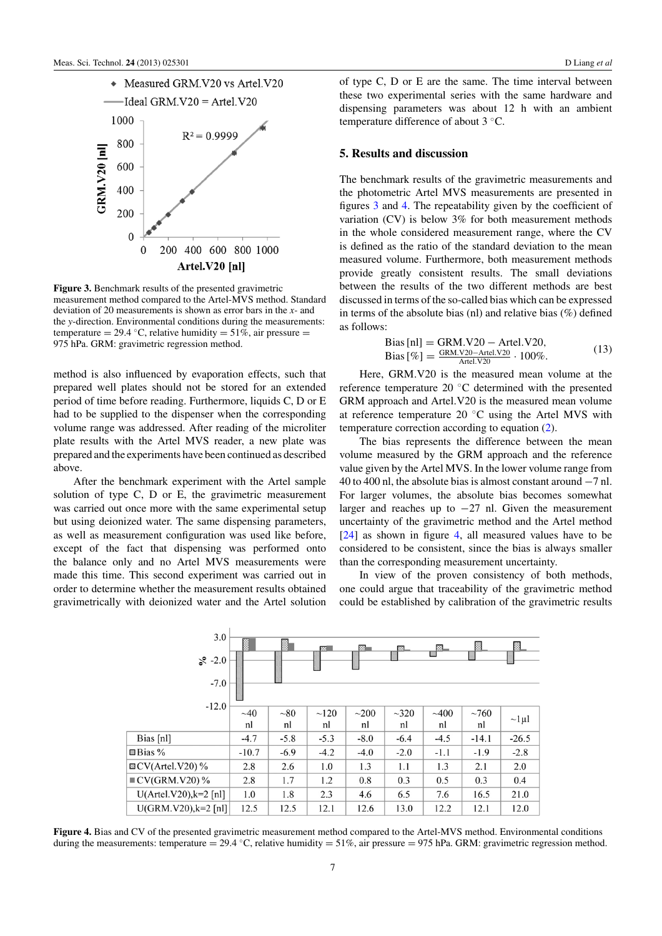<span id="page-6-0"></span>

**Figure 3.** Benchmark results of the presented gravimetric measurement method compared to the Artel-MVS method. Standard deviation of 20 measurements is shown as error bars in the *x-* and the *y*-direction. Environmental conditions during the measurements: temperature = 29.4 °C, relative humidity =  $51\%$ , air pressure = 975 hPa. GRM: gravimetric regression method.

method is also influenced by evaporation effects, such that prepared well plates should not be stored for an extended period of time before reading. Furthermore, liquids C, D or E had to be supplied to the dispenser when the corresponding volume range was addressed. After reading of the microliter plate results with the Artel MVS reader, a new plate was prepared and the experiments have been continued as described above.

After the benchmark experiment with the Artel sample solution of type C, D or E, the gravimetric measurement was carried out once more with the same experimental setup but using deionized water. The same dispensing parameters, as well as measurement configuration was used like before, except of the fact that dispensing was performed onto the balance only and no Artel MVS measurements were made this time. This second experiment was carried out in order to determine whether the measurement results obtained gravimetrically with deionized water and the Artel solution of type C, D or E are the same. The time interval between these two experimental series with the same hardware and dispensing parameters was about 12 h with an ambient temperature difference of about 3 ◦C.

### **5. Results and discussion**

The benchmark results of the gravimetric measurements and the photometric Artel MVS measurements are presented in figures 3 and 4. The repeatability given by the coefficient of variation (CV) is below 3% for both measurement methods in the whole considered measurement range, where the CV is defined as the ratio of the standard deviation to the mean measured volume. Furthermore, both measurement methods provide greatly consistent results. The small deviations between the results of the two different methods are best discussed in terms of the so-called bias which can be expressed in terms of the absolute bias (nl) and relative bias  $(\%)$  defined as follows:

Bias [nl] = GRM.V20 – Artel.V20,  
Bias [
$$
\%
$$
] =  $\frac{\text{GRM.V20}-\text{Artel.V20}}{\text{Artel.V20}} \cdot 100\%.$  (13)

Here, GRM.V20 is the measured mean volume at the reference temperature 20 ◦C determined with the presented GRM approach and Artel.V20 is the measured mean volume at reference temperature  $20^{\circ}$ C using the Artel MVS with temperature correction according to equation [\(2\)](#page-1-0).

The bias represents the difference between the mean volume measured by the GRM approach and the reference value given by the Artel MVS. In the lower volume range from 40 to 400 nl, the absolute bias is almost constant around −7 nl. For larger volumes, the absolute bias becomes somewhat larger and reaches up to  $-27$  nl. Given the measurement uncertainty of the gravimetric method and the Artel method [\[24](#page-9-0)] as shown in figure 4, all measured values have to be considered to be consistent, since the bias is always smaller than the corresponding measurement uncertainty.

In view of the proven consistency of both methods, one could argue that traceability of the gravimetric method could be established by calibration of the gravimetric results

| 3.0<br>$\&$ -2.0<br>$-7.0$<br>$-12.0$ | ▒       | 8      | <b>33  </b> | ▩▬         | ▩          | ▩      | ▩       | ▩                |  |
|---------------------------------------|---------|--------|-------------|------------|------------|--------|---------|------------------|--|
|                                       | ~1      | ~10    | ~120        | $~1 - 200$ | $~1 - 320$ | ~100   | ~100    | $\sim$ l $\mu$ l |  |
|                                       | nl      | nl     | nl          | nl         | nl         | nl     | nl      |                  |  |
| Bias [nl]                             | $-4.7$  | $-5.8$ | $-5.3$      | $-8.0$     | $-6.4$     | $-4.5$ | $-14.1$ | $-26.5$          |  |
| $\blacksquare$ Bias %                 | $-10.7$ | $-6.9$ | $-4.2$      | $-4.0$     | $-2.0$     | $-1.1$ | $-1.9$  | $-2.8$           |  |
| ⊠ CV(Artel.V20) %                     | 2.8     | 2.6    | 1.0         | 1.3        | 1.1        | 1.3    | 2.1     | 2.0              |  |
| $CCV(GRM.V20)\%$                      | 2.8     | 1.7    | 1.2         | 0.8        | 0.3        | 0.5    | 0.3     | 0.4              |  |
| $U(Artel.V20), k=2$ [nl]              | 1.0     | 1.8    | 2.3         | 4.6        | 6.5        | 7.6    | 16.5    | 21.0             |  |
| $U(GRM.V20), k=2$ [nl]                | 12.5    | 12.5   | 12.1        | 12.6       | 13.0       | 12.2   | 12.1    | 12.0             |  |

**Figure 4.** Bias and CV of the presented gravimetric measurement method compared to the Artel-MVS method. Environmental conditions during the measurements: temperature =  $29.4 \degree C$ , relative humidity =  $51\%$ , air pressure = 975 hPa. GRM: gravimetric regression method.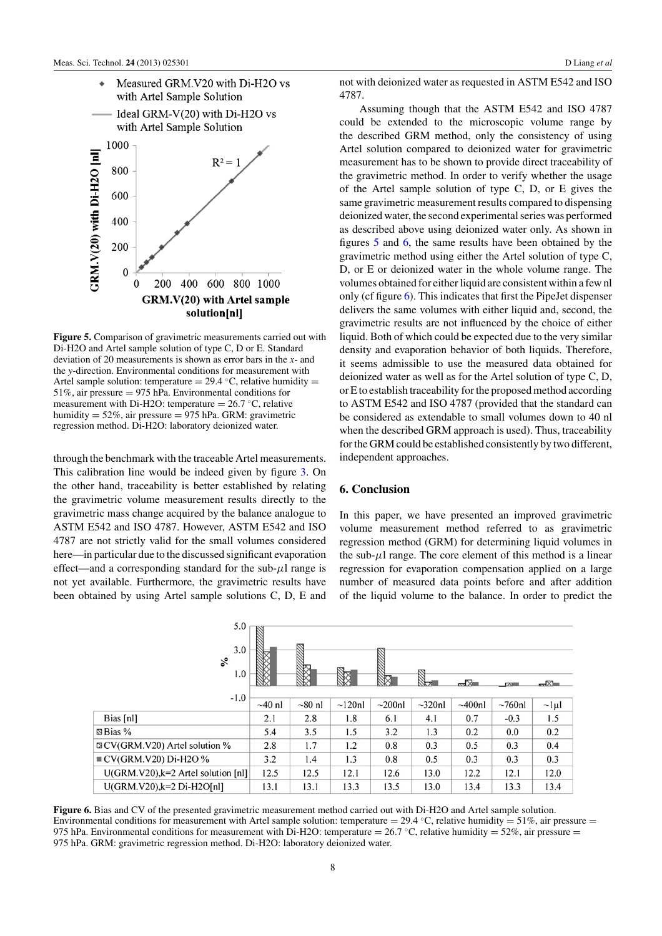

**Figure 5.** Comparison of gravimetric measurements carried out with Di-H2O and Artel sample solution of type C, D or E. Standard deviation of 20 measurements is shown as error bars in the *x-* and the *y*-direction. Environmental conditions for measurement with Artel sample solution: temperature =  $29.4 \degree C$ , relative humidity = 51%, air pressure = 975 hPa. Environmental conditions for measurement with Di-H2O: temperature =  $26.7$  °C, relative humidity  $= 52\%$ , air pressure  $= 975$  hPa. GRM: gravimetric regression method. Di-H2O: laboratory deionized water.

through the benchmark with the traceable Artel measurements. This calibration line would be indeed given by figure [3.](#page-6-0) On the other hand, traceability is better established by relating the gravimetric volume measurement results directly to the gravimetric mass change acquired by the balance analogue to ASTM E542 and ISO 4787. However, ASTM E542 and ISO 4787 are not strictly valid for the small volumes considered here—in particular due to the discussed significant evaporation effect—and a corresponding standard for the sub- $\mu$ l range is not yet available. Furthermore, the gravimetric results have been obtained by using Artel sample solutions C, D, E and

not with deionized water as requested in ASTM E542 and ISO 4787.

Assuming though that the ASTM E542 and ISO 4787 could be extended to the microscopic volume range by the described GRM method, only the consistency of using Artel solution compared to deionized water for gravimetric measurement has to be shown to provide direct traceability of the gravimetric method. In order to verify whether the usage of the Artel sample solution of type C, D, or E gives the same gravimetric measurement results compared to dispensing deionized water, the second experimental series was performed as described above using deionized water only. As shown in figures 5 and 6, the same results have been obtained by the gravimetric method using either the Artel solution of type C, D, or E or deionized water in the whole volume range. The volumes obtained for either liquid are consistent within a few nl only (cf figure 6). This indicates that first the PipeJet dispenser delivers the same volumes with either liquid and, second, the gravimetric results are not influenced by the choice of either liquid. Both of which could be expected due to the very similar density and evaporation behavior of both liquids. Therefore, it seems admissible to use the measured data obtained for deionized water as well as for the Artel solution of type C, D, or E to establish traceability for the proposed method according to ASTM E542 and ISO 4787 (provided that the standard can be considered as extendable to small volumes down to 40 nl when the described GRM approach is used). Thus, traceability for the GRM could be established consistently by two different, independent approaches.

#### **6. Conclusion**

In this paper, we have presented an improved gravimetric volume measurement method referred to as gravimetric regression method (GRM) for determining liquid volumes in the sub- $\mu$ l range. The core element of this method is a linear regression for evaporation compensation applied on a large number of measured data points before and after addition of the liquid volume to the balance. In order to predict the

| 5.0<br>3.0<br>ని<br>1.0                   |              |             | ¥                      |              | ∾            | "√⊠    | <b>IN</b>    | "⊠–            |
|-------------------------------------------|--------------|-------------|------------------------|--------------|--------------|--------|--------------|----------------|
| $-1.0$                                    | $\sim$ 40 nl | $\sim80$ nl | $\sim$ 120 $\text{nl}$ | $\sim$ 200nl | $\sim$ 320nl | ~100nl | $\sim$ 760nl | $\sim$ $1 \mu$ |
| Bias [nl]                                 | 2.1          | 2.8         | 1.8                    | 6.1          | 4.1          | 0.7    | $-0.3$       | 1.5            |
| $\boxtimes$ Bias %                        | 5.4          | 3.5         | 1.5                    | 3.2          | 1.3          | 0.2    | 0.0          | 0.2            |
| $\mathbb{Z}$ CV(GRM.V20) Artel solution % | 2.8          | 1.7         | 1.2                    | 0.8          | 0.3          | 0.5    | 0.3          | 0.4            |
| $\blacksquare$ CV(GRM.V20) Di-H2O %       | 3.2          | 1.4         | 1.3                    | 0.8          | 0.5          | 0.3    | 0.3          | 0.3            |
| $U(GRM.V20)$ , k=2 Artel solution [nl]    | 12.5         | 12.5        | 12.1                   | 12.6         | 13.0         | 12.2   | 12.1         | 12.0           |
| $U(GRM.V20)$ , k=2 Di-H2O[nl]             | 13.1         | 13.1        | 13.3                   | 13.5         | 13.0         | 13.4   | 13.3         | 13.4           |

**Figure 6.** Bias and CV of the presented gravimetric measurement method carried out with Di-H2O and Artel sample solution. Environmental conditions for measurement with Artel sample solution: temperature = 29.4 °C, relative humidity = 51%, air pressure = 975 hPa. Environmental conditions for measurement with Di-H2O: temperature =  $26.7$  °C, relative humidity =  $52\%$ , air pressure = 975 hPa. GRM: gravimetric regression method. Di-H2O: laboratory deionized water.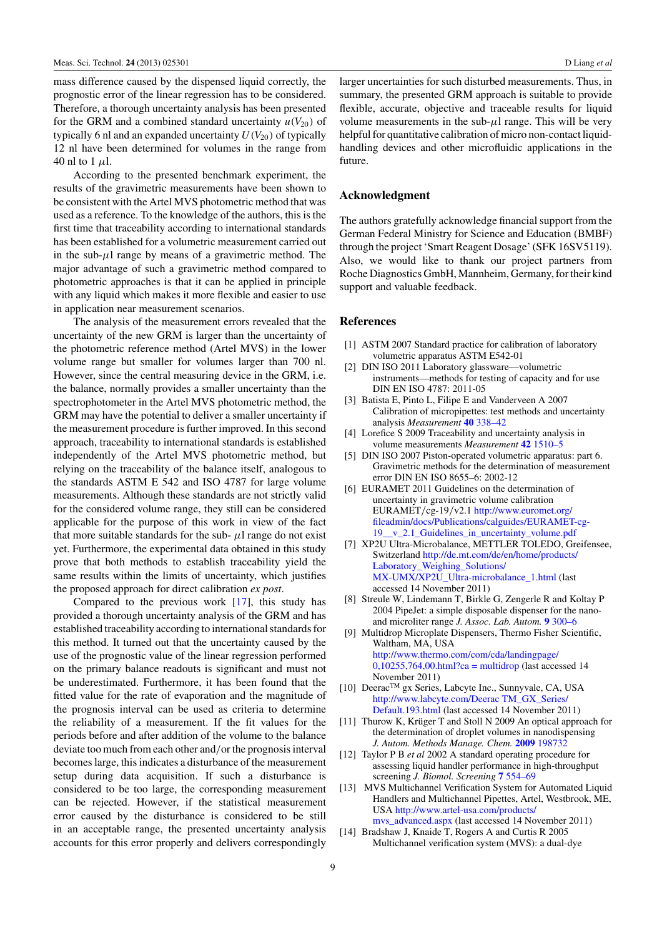<span id="page-8-0"></span>mass difference caused by the dispensed liquid correctly, the prognostic error of the linear regression has to be considered. Therefore, a thorough uncertainty analysis has been presented for the GRM and a combined standard uncertainty  $u(V_{20})$  of typically 6 nl and an expanded uncertainty  $U(V_{20})$  of typically 12 nl have been determined for volumes in the range from 40 nl to 1  $\mu$ l.

According to the presented benchmark experiment, the results of the gravimetric measurements have been shown to be consistent with the Artel MVS photometric method that was used as a reference. To the knowledge of the authors, this is the first time that traceability according to international standards has been established for a volumetric measurement carried out in the sub- $\mu$ l range by means of a gravimetric method. The major advantage of such a gravimetric method compared to photometric approaches is that it can be applied in principle with any liquid which makes it more flexible and easier to use in application near measurement scenarios.

The analysis of the measurement errors revealed that the uncertainty of the new GRM is larger than the uncertainty of the photometric reference method (Artel MVS) in the lower volume range but smaller for volumes larger than 700 nl. However, since the central measuring device in the GRM, i.e. the balance, normally provides a smaller uncertainty than the spectrophotometer in the Artel MVS photometric method, the GRM may have the potential to deliver a smaller uncertainty if the measurement procedure is further improved. In this second approach, traceability to international standards is established independently of the Artel MVS photometric method, but relying on the traceability of the balance itself, analogous to the standards ASTM E 542 and ISO 4787 for large volume measurements. Although these standards are not strictly valid for the considered volume range, they still can be considered applicable for the purpose of this work in view of the fact that more suitable standards for the sub-  $\mu$ l range do not exist yet. Furthermore, the experimental data obtained in this study prove that both methods to establish traceability yield the same results within the limits of uncertainty, which justifies the proposed approach for direct calibration *ex post*.

Compared to the previous work  $[17]$  $[17]$ , this study has provided a thorough uncertainty analysis of the GRM and has established traceability according to international standards for this method. It turned out that the uncertainty caused by the use of the prognostic value of the linear regression performed on the primary balance readouts is significant and must not be underestimated. Furthermore, it has been found that the fitted value for the rate of evaporation and the magnitude of the prognosis interval can be used as criteria to determine the reliability of a measurement. If the fit values for the periods before and after addition of the volume to the balance deviate too much from each other and*/*or the prognosis interval becomes large, this indicates a disturbance of the measurement setup during data acquisition. If such a disturbance is considered to be too large, the corresponding measurement can be rejected. However, if the statistical measurement error caused by the disturbance is considered to be still in an acceptable range, the presented uncertainty analysis accounts for this error properly and delivers correspondingly larger uncertainties for such disturbed measurements. Thus, in summary, the presented GRM approach is suitable to provide flexible, accurate, objective and traceable results for liquid volume measurements in the sub- $\mu$ l range. This will be very helpful for quantitative calibration of micro non-contact liquidhandling devices and other microfluidic applications in the future.

#### **Acknowledgment**

The authors gratefully acknowledge financial support from the German Federal Ministry for Science and Education (BMBF) through the project 'Smart Reagent Dosage' (SFK 16SV5119). Also, we would like to thank our project partners from Roche Diagnostics GmbH, Mannheim, Germany, for their kind support and valuable feedback.

# **References**

- [1] ASTM 2007 Standard practice for calibration of laboratory volumetric apparatus ASTM E542-01
- [2] DIN ISO 2011 Laboratory glassware—volumetric instruments—methods for testing of capacity and for use DIN EN ISO 4787: 2011-05
- [3] Batista E, Pinto L, Filipe E and Vanderveen A 2007 Calibration of micropipettes: test methods and uncertainty analysis *Measurement* **40** [338–42](http://dx.doi.org/10.1016/j.measurement.2006.05.012)
- [4] Lorefice S 2009 Traceability and uncertainty analysis in volume measurements *Measurement* **42** [1510–5](http://dx.doi.org/10.1016/j.measurement.2009.07.016)
- [5] DIN ISO 2007 Piston-operated volumetric apparatus: part 6. Gravimetric methods for the determination of measurement error DIN EN ISO 8655–6: 2002-12
- [6] EURAMET 2011 Guidelines on the determination of uncertainty in gravimetric volume calibration EURAMET*/*cg-19*/*v2.1 [http://www.euromet.org/](http://www.euromet.org/fileadmin/docs/Publications/calguides/EURAMET-cg-19__v_2.1_Guidelines_in_uncertainty_volume.pdf) [fileadmin/docs/Publications/calguides/EURAMET-cg-](http://www.euromet.org/fileadmin/docs/Publications/calguides/EURAMET-cg-19__v_2.1_Guidelines_in_uncertainty_volume.pdf)[19\\_\\_v\\_2.1\\_Guidelines\\_in\\_uncertainty\\_volume.pdf](http://www.euromet.org/fileadmin/docs/Publications/calguides/EURAMET-cg-19__v_2.1_Guidelines_in_uncertainty_volume.pdf)
- [7] XP2U Ultra-Microbalance, METTLER TOLEDO, Greifensee, Switzerland [http://de.mt.com/de/en/home/products/](http://de.mt.com/de/en/home/products/Laboratory_Weighing_Solutions/MX-UMX/XP2U_Ultra-microbalance_1.html) [Laboratory\\_Weighing\\_Solutions/](http://de.mt.com/de/en/home/products/Laboratory_Weighing_Solutions/MX-UMX/XP2U_Ultra-microbalance_1.html) [MX-UMX/XP2U\\_Ultra-microbalance\\_1.html](http://de.mt.com/de/en/home/products/Laboratory_Weighing_Solutions/MX-UMX/XP2U_Ultra-microbalance_1.html) (last accessed 14 November 2011)
- [8] Streule W, Lindemann T, Birkle G, Zengerle R and Koltay P 2004 PipeJet: a simple disposable dispenser for the nanoand microliter range *J. Assoc. Lab. Autom.* **9** [300–6](http://dx.doi.org/10.1016/j.jala.2004.08.008)
- [9] Multidrop Microplate Dispensers, Thermo Fisher Scientific, Waltham, MA, USA [http://www.thermo.com/com/cda/landingpage/](http://www.thermo.com/com/cda/landingpage/0,10255,764,00.html?ca = multidrop)  $0,10255,764,00.html$ ?ca = multidrop (last accessed 14 November 2011)
- [10] Deerac<sup>™</sup> gx Series, Labcyte Inc., Sunnyvale, CA, USA [http://www.labcyte.com/Deerac TM\\_GX\\_Series/](http://www.labcyte.com/Deerac TM_GX_Series/Default.193.html) [Default.193.html](http://www.labcyte.com/Deerac TM_GX_Series/Default.193.html) (last accessed 14 November 2011)
- [11] Thurow K, Krüger T and Stoll N 2009 An optical approach for the determination of droplet volumes in nanodispensing *J. Autom. Methods Manage. Chem.* **2009** [198732](http://dx.doi.org/10.1155/2009/198732)
- [12] Taylor P B *et al* 2002 A standard operating procedure for assessing liquid handler performance in high-throughput screening *J. Biomol. Screening* **7** [554–69](http://dx.doi.org/10.1177/1087057102238630)
- [13] MVS Multichannel Verification System for Automated Liquid Handlers and Multichannel Pipettes, Artel, Westbrook, ME, USA [http://www.artel-usa.com/products/](http://www.artel-usa.com/products/mvs_advanced.aspx) [mvs\\_advanced.aspx](http://www.artel-usa.com/products/mvs_advanced.aspx) (last accessed 14 November 2011)
- [14] Bradshaw J, Knaide T, Rogers A and Curtis R 2005 Multichannel verification system (MVS): a dual-dye